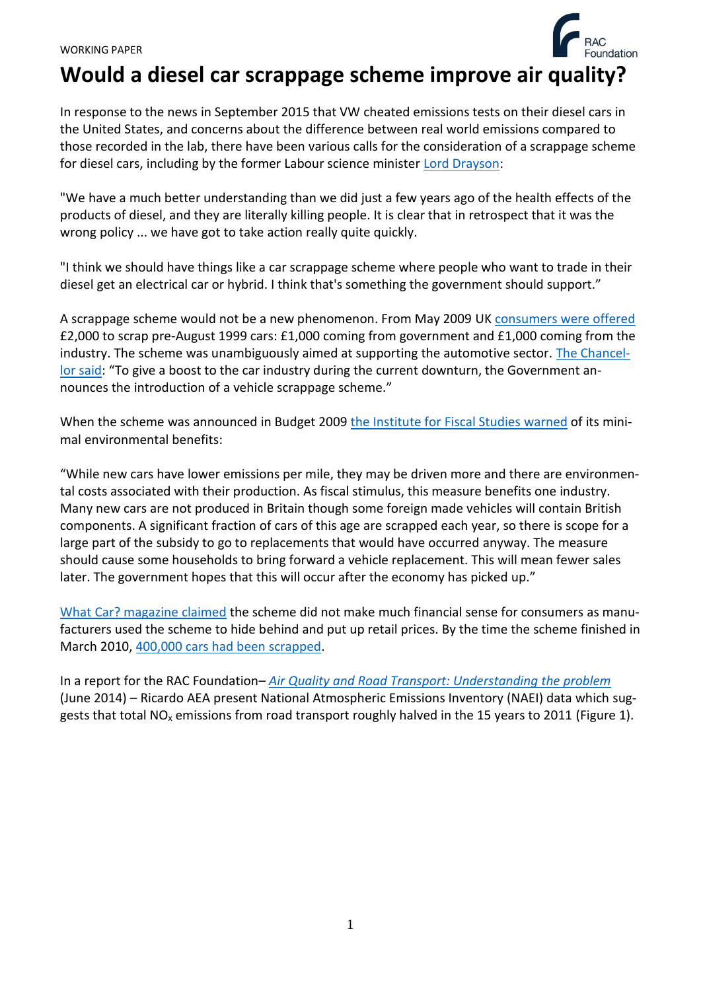# **Would a diesel car scrappage scheme improve air quality?**

In response to the news in September 2015 that VW cheated emissions tests on their diesel cars in the United States, and concerns about the difference between real world emissions compared to those recorded in the lab, there have been various calls for the consideration of a scrappage scheme for diesel cars, including by the former Labour science minister [Lord Drayson:](http://www.bbc.co.uk/news/business-34407670)

"We have a much better understanding than we did just a few years ago of the health effects of the products of diesel, and they are literally killing people. It is clear that in retrospect that it was the wrong policy ... we have got to take action really quite quickly.

"I think we should have things like a car scrappage scheme where people who want to trade in their diesel get an electrical car or hybrid. I think that's something the government should support."

A scrappage scheme would not be a new phenomenon. From May 2009 UK [consumers were offered](http://www.smmt.co.uk/2009/05/uk-vehicle-scrappage-scheme-gets-under-way/) £2,000 to scrap pre-August 1999 cars: £1,000 coming from government and £1,000 coming from the industry. The scheme was unambiguously aimed at supporting the automotive sector. [The Chancel](http://webarchive.nationalarchives.gov.uk/20130129110402/http:/www.hm-treasury.gov.uk/d/bud09_completereport_2520.pdf)[lor said](http://webarchive.nationalarchives.gov.uk/20130129110402/http:/www.hm-treasury.gov.uk/d/bud09_completereport_2520.pdf): "To give a boost to the car industry during the current downturn, the Government announces the introduction of a vehicle scrappage scheme."

When the scheme was announced in Budget 2009 [the Institute for Fiscal Studies](http://www.ifs.org.uk/pr/budget09_initial.pdf) warned of its minimal environmental benefits:

"While new cars have lower emissions per mile, they may be driven more and there are environmental costs associated with their production. As fiscal stimulus, this measure benefits one industry. Many new cars are not produced in Britain though some foreign made vehicles will contain British components. A significant fraction of cars of this age are scrapped each year, so there is scope for a large part of the subsidy to go to replacements that would have occurred anyway. The measure should cause some households to bring forward a vehicle replacement. This will mean fewer sales later. The government hopes that this will occur after the economy has picked up."

[What Car? magazine claimed](http://www.thisismoney.co.uk/money/cars/article-1690128/Car-scrappage-scheme-used-to-drive-up-prices.html) the scheme did not make much financial sense for consumers as manufacturers used the scheme to hide behind and put up retail prices. By the time the scheme finished in March 2010, [400,000 cars had been scrapped.](http://www.smmt.co.uk/2010/03/scrappage-scheme-comes-to-an-end/)

In a report for the RAC Foundation– *[Air Quality and Road Transport: Understanding the problem](http://www.racfoundation.org/assets/rac_foundation/content/downloadables/racf_ricardo_aea_air_quality_report_hitchcock_et_al_june_2014.pdf)* (June 2014) – Ricardo AEA present National Atmospheric Emissions Inventory (NAEI) data which suggests that total NO<sub>x</sub> emissions from road transport roughly halved in the 15 years to 2011 (Figure 1).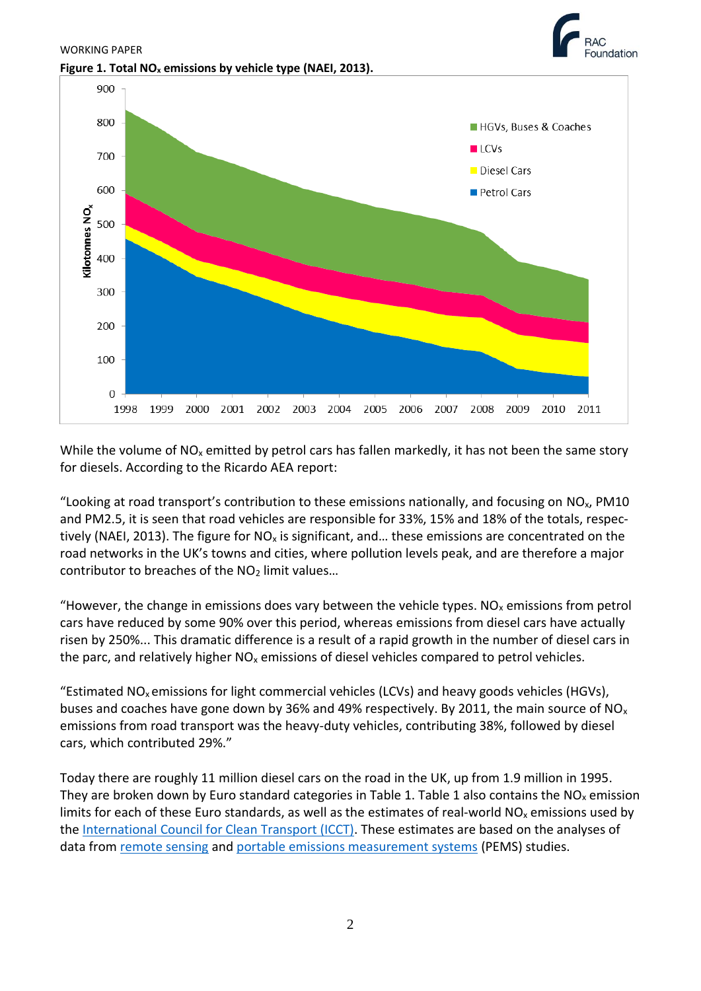

While the volume of  $NO<sub>x</sub>$  emitted by petrol cars has fallen markedly, it has not been the same story for diesels. According to the Ricardo AEA report:

"Looking at road transport's contribution to these emissions nationally, and focusing on  $NO<sub>x</sub>$ , PM10 and PM2.5, it is seen that road vehicles are responsible for 33%, 15% and 18% of the totals, respectively (NAEI, 2013). The figure for  $NO_x$  is significant, and... these emissions are concentrated on the road networks in the UK's towns and cities, where pollution levels peak, and are therefore a major contributor to breaches of the  $NO<sub>2</sub>$  limit values...

"However, the change in emissions does vary between the vehicle types.  $NO<sub>x</sub>$  emissions from petrol cars have reduced by some 90% over this period, whereas emissions from diesel cars have actually risen by 250%... This dramatic difference is a result of a rapid growth in the number of diesel cars in the parc, and relatively higher  $NO<sub>x</sub>$  emissions of diesel vehicles compared to petrol vehicles.

"Estimated NO<sub>x</sub> emissions for light commercial vehicles (LCVs) and heavy goods vehicles (HGVs), buses and coaches have gone down by 36% and 49% respectively. By 2011, the main source of NO<sub>x</sub> emissions from road transport was the heavy-duty vehicles, contributing 38%, followed by diesel cars, which contributed 29%."

Today there are roughly 11 million diesel cars on the road in the UK, up from 1.9 million in 1995. They are broken down by Euro standard categories in Table 1. Table 1 also contains the  $NO<sub>x</sub>$  emission limits for each of these Euro standards, as well as the estimates of real-world  $NO<sub>x</sub>$  emissions used by the [International Council for Clean](http://www.theicct.org/sites/default/files/ICCT_PEMS-study_diesel-cars_2014_factsheet_EN.pdf) Transport (ICCT). These estimates are based on the analyses of data from [remote sensing](http://www.sciencedirect.com/science/article/pii/S1352231011010260) and [portable emissions measurement systems](http://www.theicct.org/real-world-exhaust-emissions-modern-diesel-cars) (PEMS) studies.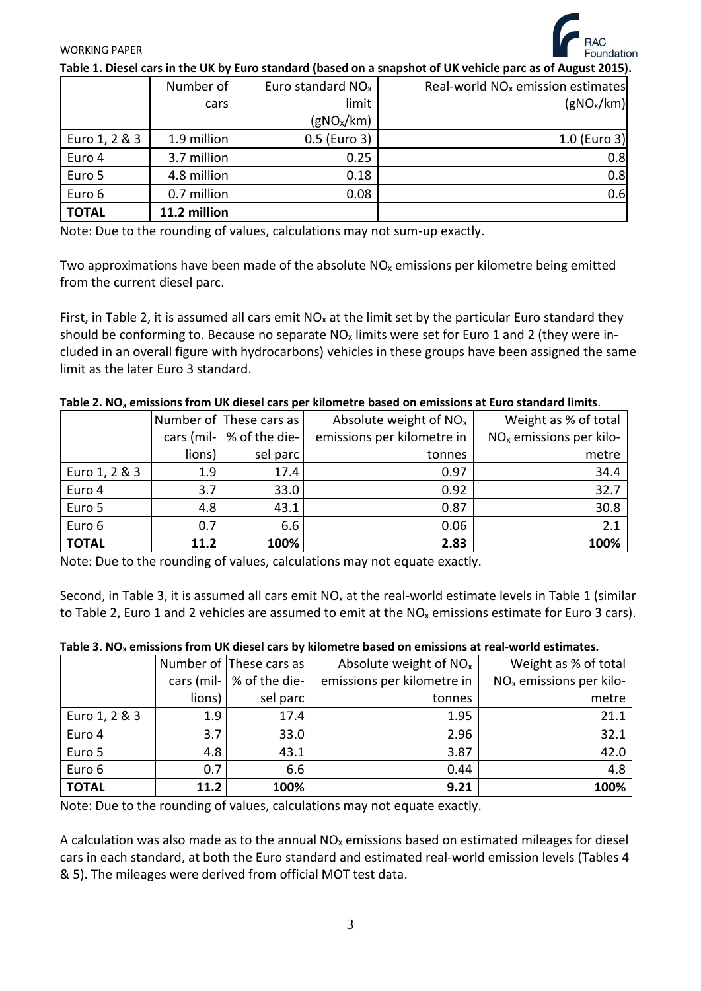

#### WORKING PAPER

**Table 1. Diesel cars in the UK by Euro standard (based on a snapshot of UK vehicle parc as of August 2015).**

|               | Number of    | Euro standard $NOx$    | Real-world $NOx$ emission estimates |
|---------------|--------------|------------------------|-------------------------------------|
|               | cars         | limit                  | (gNO <sub>x</sub> /km)              |
|               |              | (gNO <sub>x</sub> /km) |                                     |
| Euro 1, 2 & 3 | 1.9 million  | 0.5 (Euro 3)           | 1.0 (Euro 3)                        |
| Euro 4        | 3.7 million  | 0.25                   | 0.8                                 |
| Euro 5        | 4.8 million  | 0.18                   | 0.8                                 |
| Euro 6        | 0.7 million  | 0.08                   | 0.6                                 |
| <b>TOTAL</b>  | 11.2 million |                        |                                     |

Note: Due to the rounding of values, calculations may not sum-up exactly.

Two approximations have been made of the absolute  $NO<sub>x</sub>$  emissions per kilometre being emitted from the current diesel parc.

First, in Table 2, it is assumed all cars emit  $NO<sub>x</sub>$  at the limit set by the particular Euro standard they should be conforming to. Because no separate  $NO<sub>x</sub>$  limits were set for Euro 1 and 2 (they were included in an overall figure with hydrocarbons) vehicles in these groups have been assigned the same limit as the later Euro 3 standard.

|               |        | Number of These cars as           | Absolute weight of $NOx$   | Weight as % of total                |  |
|---------------|--------|-----------------------------------|----------------------------|-------------------------------------|--|
|               |        | cars (mil- $\vert \%$ of the die- | emissions per kilometre in | NO <sub>x</sub> emissions per kilo- |  |
|               | lions) | sel parc                          | tonnes                     | metre                               |  |
| Euro 1, 2 & 3 | 1.9    | 17.4                              | 0.97                       | 34.4                                |  |
| Euro 4        | 3.7    | 33.0                              | 0.92                       | 32.7                                |  |
| Euro 5        | 4.8    | 43.1                              | 0.87                       | 30.8                                |  |
| Euro 6        | 0.7    | 6.6                               | 0.06                       | 2.1                                 |  |
| <b>TOTAL</b>  | 11.2   | 100%                              | 2.83                       | 100%                                |  |

Note: Due to the rounding of values, calculations may not equate exactly.

Second, in Table 3, it is assumed all cars emit  $NO<sub>x</sub>$  at the real-world estimate levels in Table 1 (similar to Table 2, Euro 1 and 2 vehicles are assumed to emit at the  $NO<sub>x</sub>$  emissions estimate for Euro 3 cars).

| Table 3. NO <sub>x</sub> emissions from UK diesel cars by kilometre based on emissions at real-world estimates. |  |  |
|-----------------------------------------------------------------------------------------------------------------|--|--|
|-----------------------------------------------------------------------------------------------------------------|--|--|

|               |        | Number of These cars as           | Absolute weight of $NOx$   | Weight as % of total      |
|---------------|--------|-----------------------------------|----------------------------|---------------------------|
|               |        | cars (mil- $\vert \%$ of the die- | emissions per kilometre in | $NOx$ emissions per kilo- |
|               | lions) | sel parc                          | tonnes                     | metre                     |
| Euro 1, 2 & 3 | 1.9    | 17.4                              | 1.95                       | 21.1                      |
| Euro 4        | 3.7    | 33.0                              | 2.96                       | 32.1                      |
| Euro 5        | 4.8    | 43.1                              | 3.87                       | 42.0                      |
| Euro 6        | 0.7    | 6.6                               | 0.44                       | 4.8                       |
| <b>TOTAL</b>  | 11.2   | 100%                              | 9.21                       | 100%                      |

Note: Due to the rounding of values, calculations may not equate exactly.

A calculation was also made as to the annual  $NO<sub>x</sub>$  emissions based on estimated mileages for diesel cars in each standard, at both the Euro standard and estimated real-world emission levels (Tables 4 & 5). The mileages were derived from official MOT test data.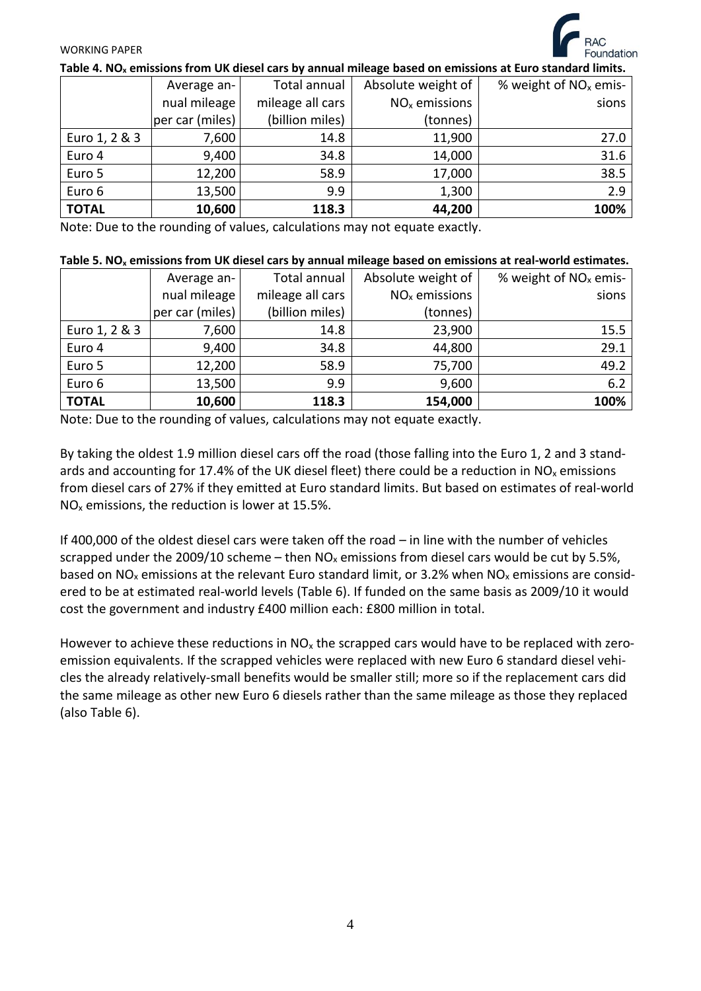#### WORKING PAPER

| Table 4. NO <sub>x</sub> emissions from UK diesel cars by annual mileage based on emissions at Euro standard limits. |                  |                    |                         |  |  |  |
|----------------------------------------------------------------------------------------------------------------------|------------------|--------------------|-------------------------|--|--|--|
| Average an-                                                                                                          | Total annual     | Absolute weight of | % weight of $NOx$ emis- |  |  |  |
| nual mileage                                                                                                         | mileage all cars | $NOx$ emissions    | sions                   |  |  |  |
| per car (miles)                                                                                                      | (billion miles)  | (tonnes)           |                         |  |  |  |
| 7,600                                                                                                                | 14.8             | 11,900             | 27.0                    |  |  |  |
| 9,400                                                                                                                | 34.8             | 14,000             | 31.6                    |  |  |  |
| 12,200                                                                                                               | 58.9             | 17,000             | 38.5                    |  |  |  |
| 13,500                                                                                                               | 9.9              | 1,300              | 2.9                     |  |  |  |
| 10,600                                                                                                               | 118.3            | 44,200             | 100%                    |  |  |  |
|                                                                                                                      |                  |                    |                         |  |  |  |

Note: Due to the rounding of values, calculations may not equate exactly.

|               | Average an-     | Total annual     | Absolute weight of | % weight of $NOx$ emis- |
|---------------|-----------------|------------------|--------------------|-------------------------|
|               | nual mileage    | mileage all cars | $NOx$ emissions    | sions                   |
|               | per car (miles) | (billion miles)  | (tonnes)           |                         |
| Euro 1, 2 & 3 | 7,600           | 14.8             | 23,900             | 15.5                    |
| Euro 4        | 9,400           | 34.8             | 44,800             | 29.1                    |
| Euro 5        | 12,200          | 58.9             | 75,700             | 49.2                    |
| Euro 6        | 13,500          | 9.9              | 9,600              | 6.2                     |
| <b>TOTAL</b>  | 10,600          | 118.3            | 154,000            | 100%                    |

Note: Due to the rounding of values, calculations may not equate exactly.

By taking the oldest 1.9 million diesel cars off the road (those falling into the Euro 1, 2 and 3 standards and accounting for 17.4% of the UK diesel fleet) there could be a reduction in  $NO<sub>x</sub>$  emissions from diesel cars of 27% if they emitted at Euro standard limits. But based on estimates of real-world  $NO<sub>x</sub>$  emissions, the reduction is lower at 15.5%.

If 400,000 of the oldest diesel cars were taken off the road – in line with the number of vehicles scrapped under the 2009/10 scheme – then  $NO<sub>x</sub>$  emissions from diesel cars would be cut by 5.5%, based on NO<sub>x</sub> emissions at the relevant Euro standard limit, or 3.2% when NO<sub>x</sub> emissions are considered to be at estimated real-world levels (Table 6). If funded on the same basis as 2009/10 it would cost the government and industry £400 million each: £800 million in total.

However to achieve these reductions in  $NO<sub>x</sub>$  the scrapped cars would have to be replaced with zeroemission equivalents. If the scrapped vehicles were replaced with new Euro 6 standard diesel vehicles the already relatively-small benefits would be smaller still; more so if the replacement cars did the same mileage as other new Euro 6 diesels rather than the same mileage as those they replaced (also Table 6).